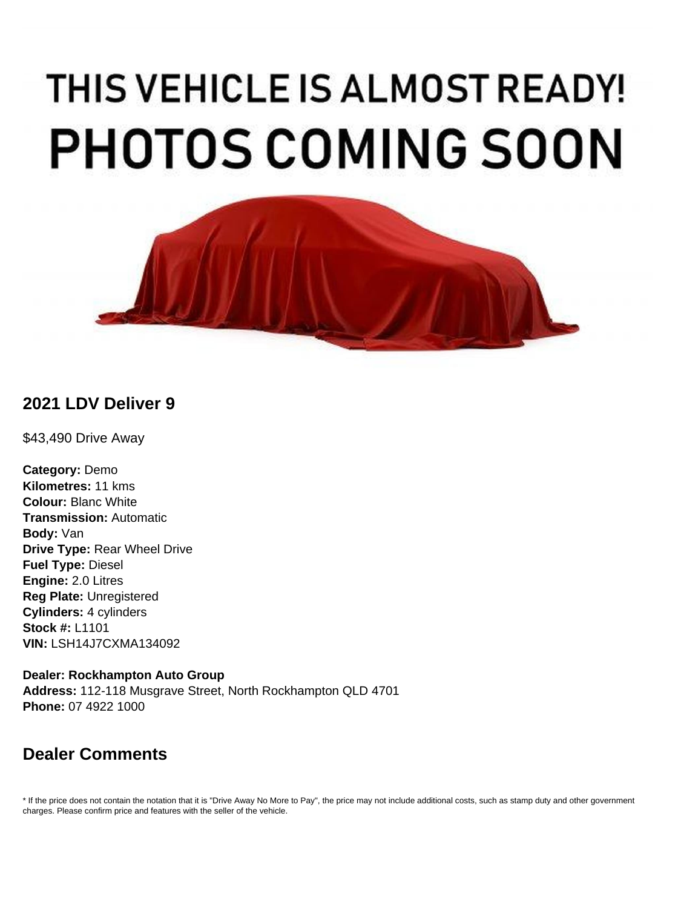# THIS VEHICLE IS ALMOST READY! **PHOTOS COMING SOON**



# **2021 LDV Deliver 9**

\$43,490 Drive Away

**Category:** Demo **Kilometres:** 11 kms **Colour:** Blanc White **Transmission:** Automatic **Body:** Van **Drive Type:** Rear Wheel Drive **Fuel Type:** Diesel **Engine:** 2.0 Litres **Reg Plate:** Unregistered **Cylinders:** 4 cylinders **Stock #:** L1101 **VIN:** LSH14J7CXMA134092

**Dealer: Rockhampton Auto Group Address:** 112-118 Musgrave Street, North Rockhampton QLD 4701 **Phone:** 07 4922 1000

# **Dealer Comments**

\* If the price does not contain the notation that it is "Drive Away No More to Pay", the price may not include additional costs, such as stamp duty and other government charges. Please confirm price and features with the seller of the vehicle.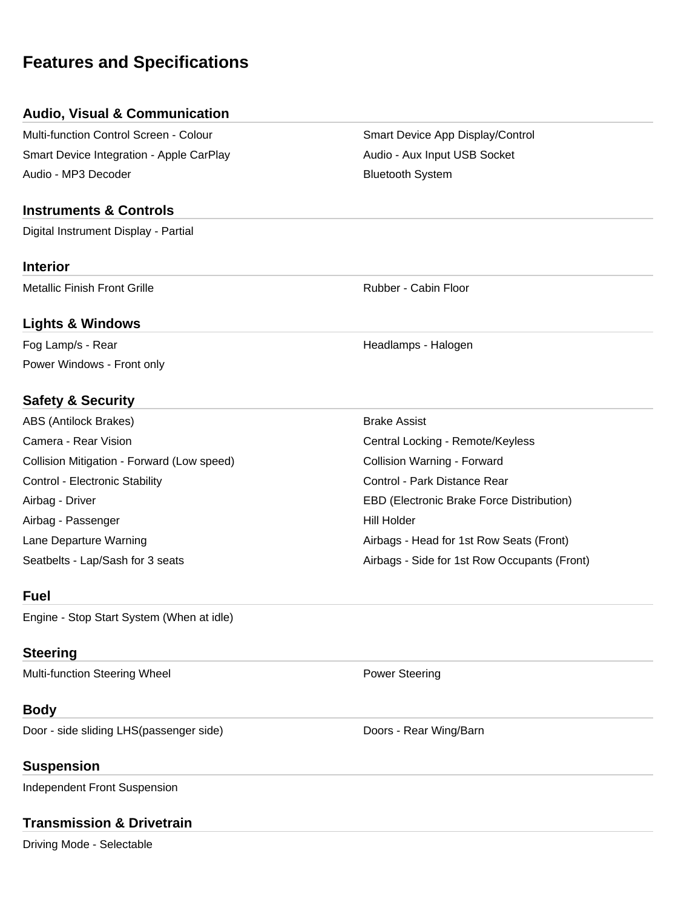# **Features and Specifications**

#### **Audio, Visual & Communication**

Multi-function Control Screen - Colour Superson Smart Device App Display/Control Smart Device Integration - Apple CarPlay Audio - Audio - Aux Input USB Socket Audio - MP3 Decoder **Bluetooth System** Bluetooth System

#### **Instruments & Controls**

Digital Instrument Display - Partial

#### **Interior**

Metallic Finish Front Grille **Rubber - Cabin Floor** Rubber - Cabin Floor

#### **Lights & Windows**

Fog Lamp/s - Rear Headlamps - Halogen Power Windows - Front only

#### **Safety & Security**

ABS (Antilock Brakes) Brake Assist Camera - Rear Vision Central Locking - Remote/Keyless Collision Mitigation - Forward (Low speed) Collision Warning - Forward Control - Electronic Stability **Control - Park Distance Rear** Control - Park Distance Rear Airbag - Driver EBD (Electronic Brake Force Distribution) Airbag - Passenger National Accords and Airbag - Passenger National Accords and Airbag - Hill Holder Lane Departure Warning The Airbags - Head for 1st Row Seats (Front)

#### **Fuel**

Engine - Stop Start System (When at idle)

### **Steering**

Multi-function Steering Wheel **Power Steering** 

## **Body**

Door - side sliding LHS(passenger side) Doors - Rear Wing/Barn

## **Suspension**

Independent Front Suspension

## **Transmission & Drivetrain**

Driving Mode - Selectable

Seatbelts - Lap/Sash for 3 seats Airbags - Side for 1st Row Occupants (Front)